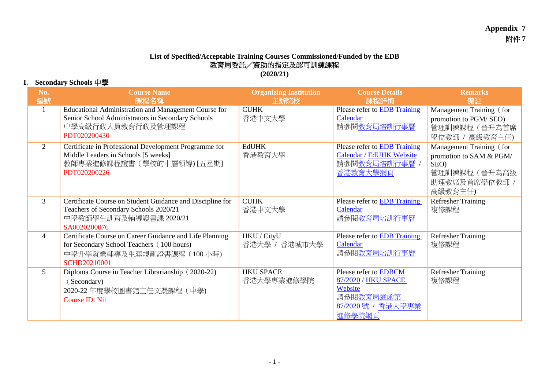## **List of Specified/Acceptable Training Courses Commissioned/Funded by the EDB** 教育局委託/資助的指定及認可訓練課程 **(2020/21)**

## **I. Secondary Schools** 中學

| No.<br>編號      | <b>Course Name</b><br>課程名稱                                                                                                                               | <b>Organizing Institution</b><br> 主辦院校 | <b>Course Details</b><br>課程詳情                                                                       | <b>Remarks</b><br>備註                                                                                  |
|----------------|----------------------------------------------------------------------------------------------------------------------------------------------------------|----------------------------------------|-----------------------------------------------------------------------------------------------------|-------------------------------------------------------------------------------------------------------|
| -1             | Educational Administration and Management Course for<br>Senior School Administrators in Secondary Schools<br>中學高級行政人員教育行政及管理課程<br>PDT020200430           | <b>CUHK</b><br>香港中文大學                  | Please refer to <b>EDB</b> Training<br>Calendar<br>請參閱教育局培訓行事曆                                      | Management Training (for<br>promotion to PGM/SEO)<br>管理訓練課程(晉升為首席<br>學位教師 / 高級教育主任)                   |
| $\overline{2}$ | Certificate in Professional Development Programme for<br>Middle Leaders in Schools [5 weeks]<br>教師專業進修課程證書 (學校的中層領導) [五星期]<br>PDT020200226               | <b>EdUHK</b><br>香港教育大學                 | Please refer to <b>EDB</b> Training<br>Calendar / EdUHK Website<br>請參閱教育局培訓行事曆,<br>香港教育大學網頁         | Management Training (for<br>promotion to SAM & PGM/<br>SEO)<br>管理訓練課程(晉升為高級<br>助理教席及首席學位教師<br>高級教育主任) |
| $\mathfrak{Z}$ | Certificate Course on Student Guidance and Discipline for<br>Teachers of Secondary Schools 2020/21<br>中學教師學生訓育及輔導證書課 2020/21<br>SA0020200076             | <b>CUHK</b><br>香港中文大學                  | Please refer to <b>EDB</b> Training<br>Calendar<br>請參閱教育局培訓行事曆                                      | <b>Refresher Training</b><br>複修課程                                                                     |
| $\overline{4}$ | Certificate Course on Career Guidance and Life Planning<br>for Secondary School Teachers (100 hours)<br>中學升學就業輔導及生涯規劃證書課程 (100小時)<br><b>SCHD20210001</b> | HKU / CityU<br>香港大學 / 香港城市大學           | Please refer to <b>EDB</b> Training<br>Calendar<br>請參閱教育局培訓行事曆                                      | <b>Refresher Training</b><br>複修課程                                                                     |
| 5 <sup>5</sup> | Diploma Course in Teacher Librarianship (2020-22)<br>(Secondary)<br>2020-22 年度學校圖書館主任文憑課程 (中學)<br>Course ID: Nil                                         | <b>HKU SPACE</b><br>香港大學專業進修學院         | Please refer to EDBCM<br>87/2020 / HKU SPACE<br>Website<br>請參閱教育局通函第<br>87/2020號 / 香港大學專業<br>進修學院網頁 | <b>Refresher Training</b><br>複修課程                                                                     |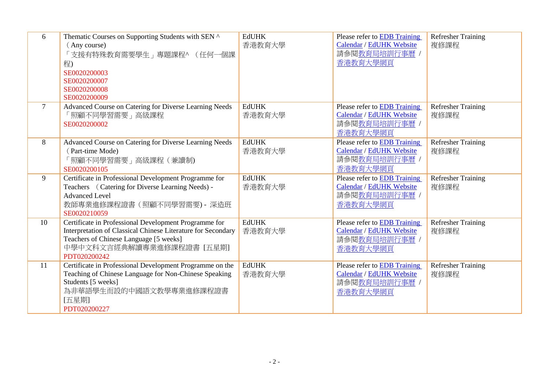| 6      | Thematic Courses on Supporting Students with SEN ^<br>(Any course)<br>「支援有特殊教育需要學生」專題課程^ (任何一個課<br>程)<br>SE0020200003<br>SE0020200007<br>SE0020200008<br>SE0020200009                                        | <b>EdUHK</b><br>香港教育大學 | Please refer to EDB Training<br>Calendar / EdUHK Website<br>請參閱教育局培訓行事曆 /<br>香港教育大學網頁 | <b>Refresher Training</b><br>複修課程 |
|--------|--------------------------------------------------------------------------------------------------------------------------------------------------------------------------------------------------------------|------------------------|---------------------------------------------------------------------------------------|-----------------------------------|
| $\tau$ | Advanced Course on Catering for Diverse Learning Needs<br>「照顧不同學習需要」高級課程<br>SE0020200002                                                                                                                     | <b>EdUHK</b><br>香港教育大學 | Please refer to EDB Training<br>Calendar / EdUHK Website<br>請參閱教育局培訓行事曆 /<br>香港教育大學網頁 | <b>Refresher Training</b><br>複修課程 |
| 8      | Advanced Course on Catering for Diverse Learning Needs<br>(Part-time Mode)<br>「照顧不同學習需要」高級課程 (兼讀制)<br>SE0020200105                                                                                           | <b>EdUHK</b><br>香港教育大學 | Please refer to EDB Training<br>Calendar / EdUHK Website<br>請參閱教育局培訓行事曆 /<br>香港教育大學網頁 | <b>Refresher Training</b><br>複修課程 |
| 9      | Certificate in Professional Development Programme for<br>Teachers (Catering for Diverse Learning Needs) -<br><b>Advanced Level</b><br>教師專業進修課程證書 (照顧不同學習需要) - 深造班<br>SE0020210059                            | <b>EdUHK</b><br>香港教育大學 | Please refer to EDB Training<br>Calendar / EdUHK Website<br>請參閱教育局培訓行事曆 /<br>香港教育大學網頁 | <b>Refresher Training</b><br>複修課程 |
| 10     | Certificate in Professional Development Programme for<br>Interpretation of Classical Chinese Literature for Secondary<br>Teachers of Chinese Language [5 weeks]<br>中學中文科文言經典解讀專業進修課程證書 [五星期]<br>PDT020200242 | <b>EdUHK</b><br>香港教育大學 | Please refer to EDB Training<br>Calendar / EdUHK Website<br>請參閱教育局培訓行事曆 /<br>香港教育大學網頁 | <b>Refresher Training</b><br>複修課程 |
| 11     | Certificate in Professional Development Programme on the<br>Teaching of Chinese Language for Non-Chinese Speaking<br>Students [5 weeks]<br>為非華語學生而設的中國語文教學專業進修課程證書<br>[五星期]<br>PDT020200227                  | <b>EdUHK</b><br>香港教育大學 | Please refer to EDB Training<br>Calendar / EdUHK Website<br>請參閱教育局培訓行事曆 /<br>香港教育大學網頁 | <b>Refresher Training</b><br>複修課程 |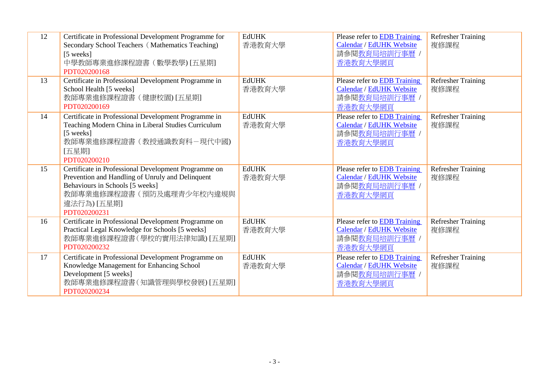| 12 | Certificate in Professional Development Programme for<br>Secondary School Teachers (Mathematics Teaching)<br>[5 weeks]<br>中學教師專業進修課程證書 (數學教學) [五星期]<br>PDT020200168                                    | <b>EdUHK</b><br>香港教育大學 | Please refer to <b>EDB</b> Training<br>Calendar / EdUHK Website<br>請參閱教育局培訓行事曆 /<br>香港教育大學網頁 | <b>Refresher Training</b><br>複修課程 |
|----|--------------------------------------------------------------------------------------------------------------------------------------------------------------------------------------------------------|------------------------|----------------------------------------------------------------------------------------------|-----------------------------------|
| 13 | Certificate in Professional Development Programme in<br>School Health [5 weeks]<br>教師專業進修課程證書 (健康校園) [五星期]<br>PDT020200169                                                                             | <b>EdUHK</b><br>香港教育大學 | Please refer to <b>EDB</b> Training<br>Calendar / EdUHK Website<br>請參閱教育局培訓行事曆 /<br>香港教育大學網頁 | <b>Refresher Training</b><br>複修課程 |
| 14 | Certificate in Professional Development Programme in<br>Teaching Modern China in Liberal Studies Curriculum<br>[5 weeks]<br>教師專業進修課程證書 (教授通識教育科-現代中國)<br>[五星期]<br>PDT020200210                         | <b>EdUHK</b><br>香港教育大學 | Please refer to EDB Training<br>Calendar / EdUHK Website<br>請參閱教育局培訓行事曆 /<br>香港教育大學網頁        | <b>Refresher Training</b><br>複修課程 |
| 15 | Certificate in Professional Development Programme on<br>Prevention and Handling of Unruly and Delinquent<br>Behaviours in Schools [5 weeks]<br>教師專業進修課程證書(預防及處理青少年校內違規與<br>違法行為) [五星期]<br>PDT020200231 | <b>EdUHK</b><br>香港教育大學 | Please refer to <b>EDB</b> Training<br>Calendar / EdUHK Website<br>請參閱教育局培訓行事曆 /<br>香港教育大學網頁 | <b>Refresher Training</b><br>複修課程 |
| 16 | Certificate in Professional Development Programme on<br>Practical Legal Knowledge for Schools [5 weeks]<br>教師專業進修課程證書(學校的實用法律知識) [五星期]<br>PDT020200232                                                 | <b>EdUHK</b><br>香港教育大學 | Please refer to EDB Training<br>Calendar / EdUHK Website<br>請參閱教育局培訓行事曆 /<br>香港教育大學網頁        | <b>Refresher Training</b><br>複修課程 |
| 17 | Certificate in Professional Development Programme on<br>Knowledge Management for Enhancing School<br>Development [5 weeks]<br>教師專業進修課程證書(知識管理與學校發展)[五星期]<br>PDT020200234                               | <b>EdUHK</b><br>香港教育大學 | Please refer to EDB Training<br>Calendar / EdUHK Website<br>請參閱教育局培訓行事曆 /<br>香港教育大學網頁        | <b>Refresher Training</b><br>複修課程 |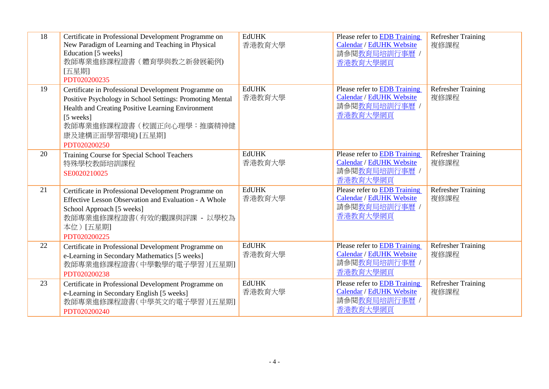| 18 | Certificate in Professional Development Programme on<br>New Paradigm of Learning and Teaching in Physical<br>Education [5 weeks]<br>教師專業進修課程證書(體育學與教之新發展範例)<br>[五星期]<br>PDT020200235                                                                | <b>EdUHK</b><br>香港教育大學 | Please refer to EDB Training<br><b>Calendar / EdUHK Website</b><br>請參閱教育局培訓行事曆 /<br>香港教育大學網頁        | <b>Refresher Training</b><br>複修課程 |
|----|-----------------------------------------------------------------------------------------------------------------------------------------------------------------------------------------------------------------------------------------------------|------------------------|-----------------------------------------------------------------------------------------------------|-----------------------------------|
| 19 | Certificate in Professional Development Programme on<br>Positive Psychology in School Settings: Promoting Mental<br>Health and Creating Positive Learning Environment<br>[5 weeks]<br>教師專業進修課程證書(校園正向心理學:推廣精神健<br>康及建構正面學習環境) [五星期]<br>PDT020200250 | <b>EdUHK</b><br>香港教育大學 | Please refer to EDB Training<br>Calendar / EdUHK Website<br>請參閱教育局培訓行事曆 /<br>香港教育大學網頁               | <b>Refresher Training</b><br>複修課程 |
| 20 | Training Course for Special School Teachers<br>特殊學校教師培訓課程<br>SE0020210025                                                                                                                                                                           | <b>EdUHK</b><br>香港教育大學 | Please refer to <b>EDB</b> Training<br><b>Calendar / EdUHK Website</b><br>請參閱教育局培訓行事曆 /<br>香港教育大學網頁 | <b>Refresher Training</b><br>複修課程 |
| 21 | Certificate in Professional Development Programme on<br>Effective Lesson Observation and Evaluation - A Whole<br>School Approach [5 weeks]<br>教師專業進修課程證書(有效的觀課與評課 - 以學校為<br>本位)[五星期]<br>PDT020200225                                                | <b>EdUHK</b><br>香港教育大學 | Please refer to EDB Training<br>Calendar / EdUHK Website<br>請參閱教育局培訓行事曆 /<br>香港教育大學網頁               | <b>Refresher Training</b><br>複修課程 |
| 22 | Certificate in Professional Development Programme on<br>e-Learning in Secondary Mathematics [5 weeks]<br>教師專業進修課程證書(中學數學的電子學習)   五星期 <br>PDT020200238                                                                                               | <b>EdUHK</b><br>香港教育大學 | Please refer to <b>EDB</b> Training<br><b>Calendar / EdUHK Website</b><br>請參閱教育局培訓行事曆 /<br>香港教育大學網頁 | <b>Refresher Training</b><br>複修課程 |
| 23 | Certificate in Professional Development Programme on<br>e-Learning in Secondary English [5 weeks]<br>教師專業進修課程證書(中學英文的電子學習)[五星期]<br>PDT020200240                                                                                                     | <b>EdUHK</b><br>香港教育大學 | Please refer to <b>EDB</b> Training<br>Calendar / EdUHK Website<br>請參閱教育局培訓行事曆 /<br>香港教育大學網頁        | <b>Refresher Training</b><br>複修課程 |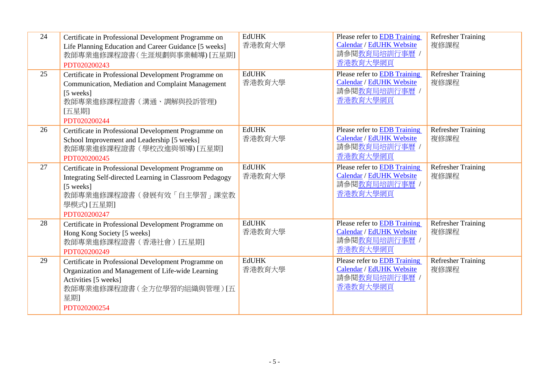| 24 | Certificate in Professional Development Programme on<br>Life Planning Education and Career Guidance [5 weeks]<br>教師專業進修課程證書(生涯規劃與事業輔導)[五星期]<br>PDT020200243                             | <b>EdUHK</b><br>香港教育大學 | Please refer to EDB Training<br>Calendar / EdUHK Website<br>請參閱教育局培訓行事曆 /<br>香港教育大學網頁        | <b>Refresher Training</b><br>複修課程 |
|----|-----------------------------------------------------------------------------------------------------------------------------------------------------------------------------------------|------------------------|----------------------------------------------------------------------------------------------|-----------------------------------|
| 25 | Certificate in Professional Development Programme on<br>Communication, Mediation and Complaint Management<br>[5 weeks]<br>教師專業進修課程證書 (溝通、調解與投訴管理)<br>[五星期]<br>PDT020200244              | <b>EdUHK</b><br>香港教育大學 | Please refer to EDB Training<br>Calendar / EdUHK Website<br>請參閱教育局培訓行事曆 /<br>香港教育大學網頁        | <b>Refresher Training</b><br>複修課程 |
| 26 | Certificate in Professional Development Programme on<br>School Improvement and Leadership [5 weeks]<br>教師專業進修課程證書 (學校改進與領導) [五星期]<br>PDT020200245                                       | <b>EdUHK</b><br>香港教育大學 | Please refer to <b>EDB</b> Training<br>Calendar / EdUHK Website<br>請參閱教育局培訓行事曆 /<br>香港教育大學網頁 | <b>Refresher Training</b><br>複修課程 |
| 27 | Certificate in Professional Development Programme on<br>Integrating Self-directed Learning in Classroom Pedagogy<br>[5 weeks]<br>教師專業進修課程證書(發展有效「自主學習」課堂教<br>學模式) [五星期]<br>PDT020200247 | <b>EdUHK</b><br>香港教育大學 | Please refer to EDB Training<br>Calendar / EdUHK Website<br>請參閱教育局培訓行事曆 /<br>香港教育大學網頁        | <b>Refresher Training</b><br>複修課程 |
| 28 | Certificate in Professional Development Programme on<br>Hong Kong Society [5 weeks]<br>教師專業進修課程證書(香港社會)[五星期]<br>PDT020200249                                                            | <b>EdUHK</b><br>香港教育大學 | Please refer to EDB Training<br>Calendar / EdUHK Website<br>請參閱教育局培訓行事曆 /<br>香港教育大學網頁        | <b>Refresher Training</b><br>複修課程 |
| 29 | Certificate in Professional Development Programme on<br>Organization and Management of Life-wide Learning<br>Activities [5 weeks]<br>教師專業進修課程證書(全方位學習的組織與管理)[五<br>星期<br>PDT020200254    | <b>EdUHK</b><br>香港教育大學 | Please refer to EDB Training<br>Calendar / EdUHK Website<br>請參閱教育局培訓行事曆 /<br>香港教育大學網頁        | <b>Refresher Training</b><br>複修課程 |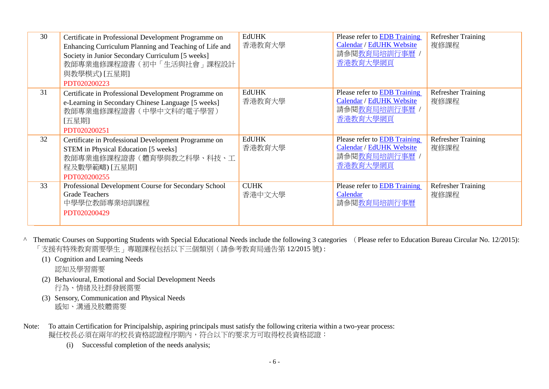| 30 | Certificate in Professional Development Programme on<br>Enhancing Curriculum Planning and Teaching of Life and<br>Society in Junior Secondary Curriculum [5 weeks]<br>教師專業進修課程證書(初中「生活與社會」課程設計<br>與教學模式) [五星期]<br>PDT020200223 | <b>EdUHK</b><br>香港教育大學 | Please refer to EDB Training<br>Calendar / EdUHK Website<br>請參閱教育局培訓行事曆 /<br>香港教育大學網頁        | <b>Refresher Training</b><br>複修課程 |
|----|--------------------------------------------------------------------------------------------------------------------------------------------------------------------------------------------------------------------------------|------------------------|----------------------------------------------------------------------------------------------|-----------------------------------|
| 31 | Certificate in Professional Development Programme on<br>e-Learning in Secondary Chinese Language [5 weeks]<br>教師專業進修課程證書 (中學中文科的電子學習)<br>[五星期]<br>PDT020200251                                                                 | <b>EdUHK</b><br>香港教育大學 | Please refer to EDB Training<br>Calendar / EdUHK Website<br>請參閱教育局培訓行事曆 /<br>香港教育大學網頁        | <b>Refresher Training</b><br>複修課程 |
| 32 | Certificate in Professional Development Programme on<br>STEM in Physical Education [5 weeks]<br>教師專業進修課程證書(體育學與教之科學、科技、工<br>程及數學範疇) [五星期]<br>PDT020200255                                                                      | <b>EdUHK</b><br>香港教育大學 | Please refer to <b>EDB</b> Training<br>Calendar / EdUHK Website<br>請參閱教育局培訓行事曆 /<br>香港教育大學網頁 | <b>Refresher Training</b><br>複修課程 |
| 33 | Professional Development Course for Secondary School<br><b>Grade Teachers</b><br>中學學位教師專業培訓課程<br>PDT020200429                                                                                                                  | <b>CUHK</b><br>香港中文大學  | Please refer to <b>EDB</b> Training<br>Calendar<br>請參閱教育局培訓行事曆                               | <b>Refresher Training</b><br>複修課程 |

^ Thematic Courses on Supporting Students with Special Educational Needs include the following 3 categories (Please refer to Education Bureau Circular No. 12/2015): 「支援有特殊教育需要學生」專題課程包括以下三個類別(請參考教育局通告第 12/2015 號) :

- (1) Cognition and Learning Needs 認知及學習需要
- (2) Behavioural, Emotional and Social Development Needs 行為、情緒及社群發展需要
- (3) Sensory, Communication and Physical Needs 感知、溝通及肢體需要
- Note: To attain Certification for Principalship, aspiring principals must satisfy the following criteria within a two-year process: 擬任校長必須在兩年的校長資格認證程序期內,符合以下的要求方可取得校長資格認證:
	- (i) Successful completion of the needs analysis;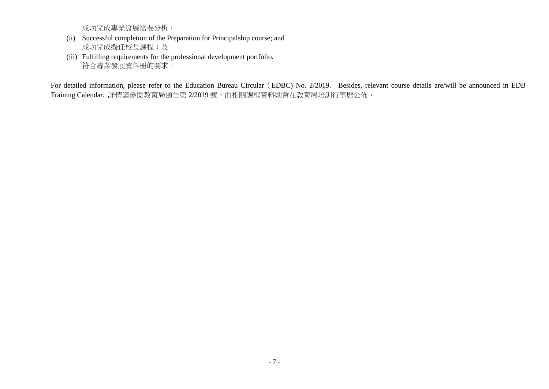成功完成專業發展需要分析;

- (ii) Successful completion of the Preparation for Principalship course; and 成功完成擬任校長課程;及
- (iii) Fulfilling requirements for the professional development portfolio. 符合專業發展資料冊的要求。

For detailed information, please refer to the Education Bureau Circular (EDBC) No. 2/2019. Besides, relevant course details are/will be announced in EDB Training Calendar. 詳情請參閱教育局通告第 2/2019 號,而相關課程資料則會在教育局培訓行事曆公佈。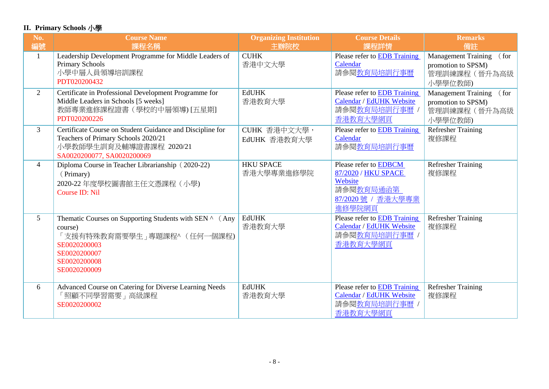## **II. Primary Schools** 小學

| No.            | <b>Course Name</b>                                                                                                                                               | <b>Organizing Institution</b>  | <b>Course Details</b>                                                                                      | <b>Remarks</b>                                                                       |
|----------------|------------------------------------------------------------------------------------------------------------------------------------------------------------------|--------------------------------|------------------------------------------------------------------------------------------------------------|--------------------------------------------------------------------------------------|
| 編號             | 課程名稱                                                                                                                                                             | 主辦院校                           | 課程詳情                                                                                                       | 備註                                                                                   |
| $\mathbf{1}$   | Leadership Development Programme for Middle Leaders of<br><b>Primary Schools</b><br>小學中層人員領導培訓課程<br>PDT020200432                                                 | <b>CUHK</b><br>香港中文大學          | Please refer to <b>EDB</b> Training<br>Calendar<br>請參閱教育局培訓行事曆                                             | <b>Management Training</b><br>( for<br>promotion to SPSM)<br>管理訓練課程(晉升為高級<br>小學學位教師) |
| $\overline{2}$ | Certificate in Professional Development Programme for<br>Middle Leaders in Schools [5 weeks]<br>教師專業進修課程證書 (學校的中層領導) [五星期]<br>PDT020200226                       | <b>EdUHK</b><br>香港教育大學         | <b>Please refer to EDB Training</b><br>Calendar / EdUHK Website<br>請參閱教育局培訓行事曆 /<br>香港教育大學網頁               | Management Training<br>(for<br>promotion to SPSM)<br>管理訓練課程(晉升為高級<br>小學學位教師)         |
| 3              | Certificate Course on Student Guidance and Discipline for<br>Teachers of Primary Schools 2020/21<br>小學教師學生訓育及輔導證書課程 2020/21<br>SA0020200077, SA0020200069        | CUHK 香港中文大學,<br>EdUHK 香港教育大學   | Please refer to <b>EDB</b> Training<br>Calendar<br>請參閱教育局培訓行事曆                                             | <b>Refresher Training</b><br>複修課程                                                    |
| $\overline{4}$ | Diploma Course in Teacher Librarianship (2020-22)<br>(Primary)<br>2020-22 年度學校圖書館主任文憑課程(小學)<br><b>Course ID: Nil</b>                                             | <b>HKU SPACE</b><br>香港大學專業進修學院 | Please refer to <b>EDBCM</b><br>87/2020 / HKU SPACE<br>Website<br>請參閱教育局通函第<br>87/2020號 / 香港大學專業<br>進修學院網頁 | <b>Refresher Training</b><br>複修課程                                                    |
| 5              | Thematic Courses on Supporting Students with SEN ^ (Any<br>course)<br>支援有特殊教育需要學生」專題課程^ (任何一個課程)<br>SE0020200003<br>SE0020200007<br>SE0020200008<br>SE0020200009 | <b>EdUHK</b><br>香港教育大學         | Please refer to <b>EDB</b> Training<br>Calendar / EdUHK Website<br>請參閱教育局培訓行事曆 /<br>香港教育大學網頁               | <b>Refresher Training</b><br>複修課程                                                    |
| 6              | Advanced Course on Catering for Diverse Learning Needs<br>「照顧不同學習需要」高級課程<br>SE0020200002                                                                         | <b>EdUHK</b><br>香港教育大學         | Please refer to EDB Training<br>Calendar / EdUHK Website<br>請參閱教育局培訓行事曆 /<br>香港教育大學網頁                      | <b>Refresher Training</b><br>複修課程                                                    |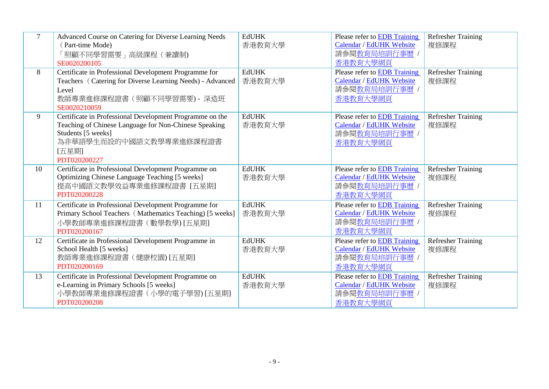| $\overline{7}$ | Advanced Course on Catering for Diverse Learning Needs<br>(Part-time Mode)<br>「照顧不同學習需要」高級課程(兼讀制)<br>SE0020200105                                                                           | <b>EdUHK</b><br>香港教育大學 | Please refer to EDB Training<br>Calendar / EdUHK Website<br>請參閱教育局培訓行事曆 /<br>香港教育大學網頁        | <b>Refresher Training</b><br>複修課程 |
|----------------|---------------------------------------------------------------------------------------------------------------------------------------------------------------------------------------------|------------------------|----------------------------------------------------------------------------------------------|-----------------------------------|
| 8              | Certificate in Professional Development Programme for<br>Teachers (Catering for Diverse Learning Needs) - Advanced<br>Level<br>教師專業進修課程證書 (照顧不同學習需要) - 深造班<br>SE0020210059                  | <b>EdUHK</b><br>香港教育大學 | Please refer to EDB Training<br>Calendar / EdUHK Website<br>請參閱教育局培訓行事曆<br>香港教育大學網頁          | <b>Refresher Training</b><br>複修課程 |
| 9              | Certificate in Professional Development Programme on the<br>Teaching of Chinese Language for Non-Chinese Speaking<br>Students [5 weeks]<br>為非華語學生而設的中國語文教學專業進修課程證書<br>[五星期]<br>PDT020200227 | <b>EdUHK</b><br>香港教育大學 | Please refer to EDB Training<br>Calendar / EdUHK Website<br>請參閱教育局培訓行事曆<br>香港教育大學網頁          | <b>Refresher Training</b><br>複修課程 |
| 10             | Certificate in Professional Development Programme on<br>Optimizing Chinese Language Teaching [5 weeks]<br>提高中國語文教學效益專業進修課程證書 [五星期]<br>PDT020200228                                          | <b>EdUHK</b><br>香港教育大學 | Please refer to EDB Training<br>Calendar / EdUHK Website<br>請參閱教育局培訓行事曆 /<br>香港教育大學網頁        | Refresher Training<br>複修課程        |
| 11             | Certificate in Professional Development Programme for<br>Primary School Teachers (Mathematics Teaching) [5 weeks]<br>小學教師專業進修課程證書 (數學教學) [五星期]<br>PDT020200167                              | <b>EdUHK</b><br>香港教育大學 | <b>Please refer to EDB Training</b><br>Calendar / EdUHK Website<br>請參閱教育局培訓行事曆<br>香港教育大學網頁   | <b>Refresher Training</b><br>複修課程 |
| 12             | Certificate in Professional Development Programme in<br>School Health [5 weeks]<br>教師專業進修課程證書 (健康校園) [五星期]<br>PDT020200169                                                                  | <b>EdUHK</b><br>香港教育大學 | Please refer to EDB Training<br>Calendar / EdUHK Website<br>請參閱教育局培訓行事曆<br>香港教育大學網頁          | <b>Refresher Training</b><br>複修課程 |
| 13             | Certificate in Professional Development Programme on<br>e-Learning in Primary Schools [5 weeks]<br>小學教師專業進修課程證書 (小學的電子學習) [五星期]<br>PDT020200208                                             | <b>EdUHK</b><br>香港教育大學 | Please refer to <b>EDB</b> Training<br>Calendar / EdUHK Website<br>請參閱教育局培訓行事曆 /<br>香港教育大學網頁 | <b>Refresher Training</b><br>複修課程 |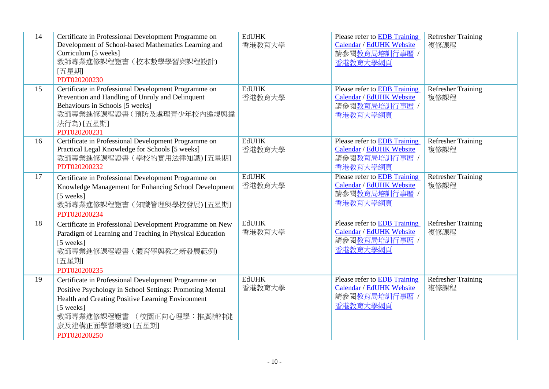| 14 | Certificate in Professional Development Programme on<br>Development of School-based Mathematics Learning and<br>Curriculum [5 weeks]<br>教師專業進修課程證書(校本數學學習與課程設計)<br>[五星期]<br>PDT020200230                                                             | <b>EdUHK</b><br>香港教育大學 | Please refer to EDB Training<br>Calendar / EdUHK Website<br>請參閱教育局培訓行事曆 /<br>香港教育大學網頁        | <b>Refresher Training</b><br>複修課程 |
|----|------------------------------------------------------------------------------------------------------------------------------------------------------------------------------------------------------------------------------------------------------|------------------------|----------------------------------------------------------------------------------------------|-----------------------------------|
| 15 | Certificate in Professional Development Programme on<br>Prevention and Handling of Unruly and Delinquent<br>Behaviours in Schools [5 weeks]<br>教師專業進修課程證書 (預防及處理青少年校內違規與違<br>法行為)[五星期]<br>PDT020200231                                               | <b>EdUHK</b><br>香港教育大學 | Please refer to <b>EDB</b> Training<br>Calendar / EdUHK Website<br>請參閱教育局培訓行事曆 /<br>香港教育大學網頁 | <b>Refresher Training</b><br>複修課程 |
| 16 | Certificate in Professional Development Programme on<br>Practical Legal Knowledge for Schools [5 weeks]<br>教師專業進修課程證書(學校的實用法律知識)[五星期]<br>PDT020200232                                                                                                | <b>EdUHK</b><br>香港教育大學 | Please refer to EDB Training<br><b>Calendar / EdUHK Website</b><br>請參閱教育局培訓行事曆 /<br>香港教育大學網頁 | <b>Refresher Training</b><br>複修課程 |
| 17 | Certificate in Professional Development Programme on<br>Knowledge Management for Enhancing School Development<br>[5 weeks]<br>教師專業進修課程證書(知識管理與學校發展)[五星期]<br>PDT020200234                                                                             | <b>EdUHK</b><br>香港教育大學 | Please refer to EDB Training<br><b>Calendar / EdUHK Website</b><br>請參閱教育局培訓行事曆 /<br>香港教育大學網頁 | <b>Refresher Training</b><br>複修課程 |
| 18 | Certificate in Professional Development Programme on New<br>Paradigm of Learning and Teaching in Physical Education<br>[5 weeks]<br>教師專業進修課程證書 (體育學與教之新發展範例)<br>[五星期]<br>PDT020200235                                                                | <b>EdUHK</b><br>香港教育大學 | Please refer to EDB Training<br>Calendar / EdUHK Website<br>請參閱教育局培訓行事曆 /<br>香港教育大學網頁        | <b>Refresher Training</b><br>複修課程 |
| 19 | Certificate in Professional Development Programme on<br>Positive Psychology in School Settings: Promoting Mental<br>Health and Creating Positive Learning Environment<br>[5 weeks]<br>教師專業進修課程證書 (校園正向心理學:推廣精神健<br>康及建構正面學習環境) [五星期]<br>PDT020200250 | <b>EdUHK</b><br>香港教育大學 | Please refer to EDB Training<br>Calendar / EdUHK Website<br>請參閱教育局培訓行事曆 /<br>香港教育大學網頁        | <b>Refresher Training</b><br>複修課程 |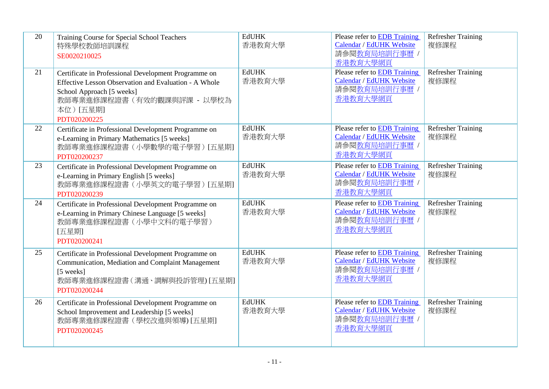| 20 | Training Course for Special School Teachers<br>特殊學校教師培訓課程<br>SE0020210025                                                                                                                             | <b>EdUHK</b><br>香港教育大學 | Please refer to EDB Training<br>Calendar / EdUHK Website<br>請參閱教育局培訓行事曆 /<br>香港教育大學網頁        | <b>Refresher Training</b><br>複修課程 |
|----|-------------------------------------------------------------------------------------------------------------------------------------------------------------------------------------------------------|------------------------|----------------------------------------------------------------------------------------------|-----------------------------------|
| 21 | Certificate in Professional Development Programme on<br>Effective Lesson Observation and Evaluation - A Whole<br>School Approach [5 weeks]<br>教師專業進修課程證書 (有效的觀課與評課 - 以學校為<br>本位)[五星期]<br>PDT020200225 | <b>EdUHK</b><br>香港教育大學 | <b>Please refer to EDB Training</b><br>Calendar / EdUHK Website<br>請參閱教育局培訓行事曆 /<br>香港教育大學網頁 | <b>Refresher Training</b><br>複修課程 |
| 22 | Certificate in Professional Development Programme on<br>e-Learning in Primary Mathematics [5 weeks]<br>教師專業進修課程證書(小學數學的電子學習) [五星期]<br>PDT020200237                                                    | <b>EdUHK</b><br>香港教育大學 | Please refer to EDB Training<br>Calendar / EdUHK Website<br>請參閱教育局培訓行事曆 /<br>香港教育大學網頁        | <b>Refresher Training</b><br>複修課程 |
| 23 | Certificate in Professional Development Programme on<br>e-Learning in Primary English [5 weeks]<br>教師專業進修課程證書(小學英文的電子學習)[五星期]<br>PDT020200239                                                         | <b>EdUHK</b><br>香港教育大學 | Please refer to EDB Training<br>Calendar / EdUHK Website<br>請參閱教育局培訓行事曆 /<br>香港教育大學網頁        | <b>Refresher Training</b><br>複修課程 |
| 24 | Certificate in Professional Development Programme on<br>e-Learning in Primary Chinese Language [5 weeks]<br>教師專業進修課程證書 (小學中文科的電子學習)<br>[五星期]<br>PDT020200241                                          | <b>EdUHK</b><br>香港教育大學 | Please refer to EDB Training<br>Calendar / EdUHK Website<br>請參閱教育局培訓行事曆 /<br>香港教育大學網頁        | <b>Refresher Training</b><br>複修課程 |
| 25 | Certificate in Professional Development Programme on<br>Communication, Mediation and Complaint Management<br>[5 weeks]<br>教師專業進修課程證書(溝通、調解與投訴管理)[五星期]<br>PDT020200244                                 | <b>EdUHK</b><br>香港教育大學 | <b>Please refer to EDB Training</b><br>Calendar / EdUHK Website<br>請參閱教育局培訓行事曆 /<br>香港教育大學網頁 | <b>Refresher Training</b><br>複修課程 |
| 26 | Certificate in Professional Development Programme on<br>School Improvement and Leadership [5 weeks]<br>教師專業進修課程證書(學校改進與領導)[五星期]<br>PDT020200245                                                       | <b>EdUHK</b><br>香港教育大學 | Please refer to EDB Training<br>Calendar / EdUHK Website<br>請參閱教育局培訓行事曆 /<br>香港教育大學網頁        | <b>Refresher Training</b><br>複修課程 |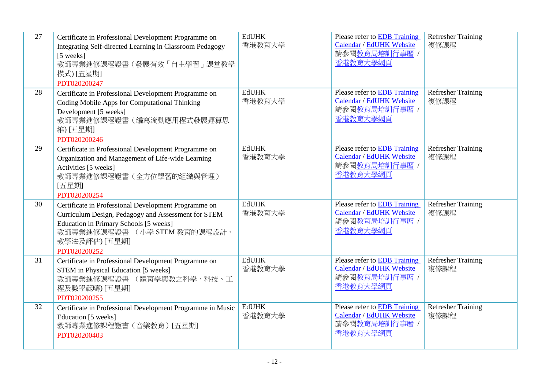| 27 | Certificate in Professional Development Programme on<br>Integrating Self-directed Learning in Classroom Pedagogy<br>[5 weeks]<br>教師專業進修課程證書(發展有效「自主學習」課堂教學<br>模式) [五星期]<br>PDT020200247                                | <b>EdUHK</b><br>香港教育大學 | Please refer to EDB Training<br>Calendar / EdUHK Website<br>請參閱教育局培訓行事曆 /<br>香港教育大學網頁 | <b>Refresher Training</b><br>複修課程 |
|----|------------------------------------------------------------------------------------------------------------------------------------------------------------------------------------------------------------------------|------------------------|---------------------------------------------------------------------------------------|-----------------------------------|
| 28 | Certificate in Professional Development Programme on<br>Coding Mobile Apps for Computational Thinking<br>Development [5 weeks]<br>教師專業進修課程證書(編寫流動應用程式發展運算思<br>維) [五星期]<br>PDT020200246                                 | <b>EdUHK</b><br>香港教育大學 | Please refer to EDB Training<br>Calendar / EdUHK Website<br>請參閱教育局培訓行事曆<br>香港教育大學網頁   | <b>Refresher Training</b><br>複修課程 |
| 29 | Certificate in Professional Development Programme on<br>Organization and Management of Life-wide Learning<br>Activities [5 weeks]<br>教師專業進修課程證書(全方位學習的組織與管理)<br>[五星期]<br>PDT020200254                                  | <b>EdUHK</b><br>香港教育大學 | Please refer to EDB Training<br>Calendar / EdUHK Website<br>請參閱教育局培訓行事曆 /<br>香港教育大學網頁 | <b>Refresher Training</b><br>複修課程 |
| 30 | Certificate in Professional Development Programme on<br>Curriculum Design, Pedagogy and Assessment for STEM<br>Education in Primary Schools [5 weeks]<br>教師專業進修課程證書 (小學 STEM 教育的課程設計、<br>教學法及評估) [五星期]<br>PDT020200252 | <b>EdUHK</b><br>香港教育大學 | Please refer to EDB Training<br>Calendar / EdUHK Website<br>請參閱教育局培訓行事曆 /<br>香港教育大學網頁 | <b>Refresher Training</b><br>複修課程 |
| 31 | Certificate in Professional Development Programme on<br>STEM in Physical Education [5 weeks]<br>教師專業進修課程證書 (體育學與教之科學、科技、工<br>程及數學範疇) [五星期]<br>PDT020200255                                                             | <b>EdUHK</b><br>香港教育大學 | Please refer to EDB Training<br>Calendar / EdUHK Website<br>請參閱教育局培訓行事曆 /<br>香港教育大學網頁 | <b>Refresher Training</b><br>複修課程 |
| 32 | Certificate in Professional Development Programme in Music<br>Education [5 weeks]<br>教師專業進修課程證書 (音樂教育) [五星期]<br>PDT020200403                                                                                           | <b>EdUHK</b><br>香港教育大學 | Please refer to EDB Training<br>Calendar / EdUHK Website<br>請參閱教育局培訓行事曆,<br>香港教育大學網頁  | <b>Refresher Training</b><br>複修課程 |